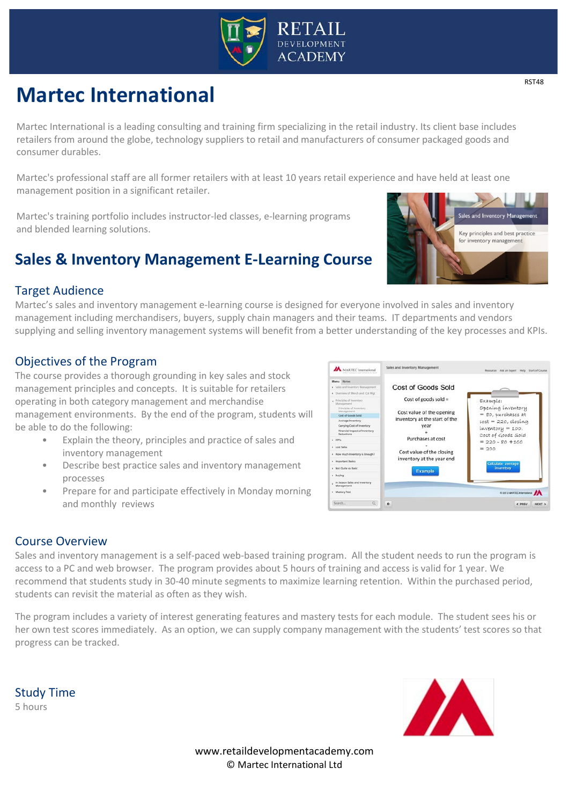

# **Martec International**

Martec International is a leading consulting and training firm specializing in the retail industry. Its client base includes retailers from around the globe, technology suppliers to retail and manufacturers of consumer packaged goods and consumer durables.

Martec's professional staff are all former retailers with at least 10 years retail experience and have held at least one management position in a significant retailer.

Martec's training portfolio includes instructor-led classes, e-learning programs and blended learning solutions.

# **Sales & Inventory Management E-Learning Course**



## Target Audience

Martec's sales and inventory management e-learning course is designed for everyone involved in sales and inventory management including merchandisers, buyers, supply chain managers and their teams. IT departments and vendors supplying and selling inventory management systems will benefit from a better understanding of the key processes and KPIs.

## Objectives of the Program

The course provides a thorough grounding in key sales and stock management principles and concepts. It is suitable for retailers operating in both category management and merchandise management environments. By the end of the program, students will be able to do the following:

- Explain the theory, principles and practice of sales and inventory management
- Describe best practice sales and inventory management processes
- Prepare for and participate effectively in Monday morning and monthly reviews



Sales and inventory management is a self-paced web-based training program. All the student needs to run the program is access to a PC and web browser. The program provides about 5 hours of training and access is valid for 1 year. We recommend that students study in 30-40 minute segments to maximize learning retention. Within the purchased period, students can revisit the material as often as they wish.

The program includes a variety of interest generating features and mastery tests for each module. The student sees his or her own test scores immediately. As an option, we can supply company management with the students' test scores so that progress can be tracked.

Study Time 5 hours



www.retaildevelopmentacademy.com © Martec International Ltd

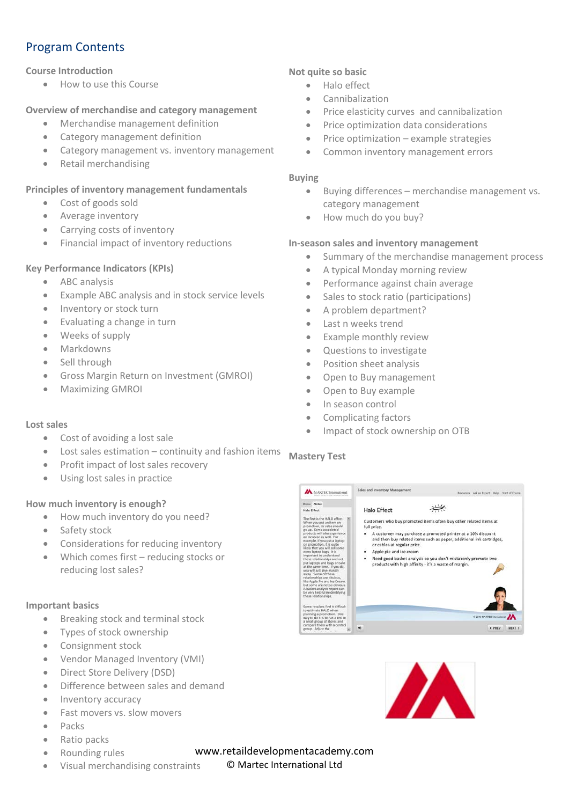## Program Contents

#### **Course Introduction**

• How to use this Course

#### **Overview of merchandise and category management**

- Merchandise management definition
- Category management definition
- Category management vs. inventory management
- Retail merchandising

#### **Principles of inventory management fundamentals**

- Cost of goods sold
- Average inventory
- Carrying costs of inventory
- Financial impact of inventory reductions

#### **Key Performance Indicators (KPIs)**

- ABC analysis
- Example ABC analysis and in stock service levels
- Inventory or stock turn
- Evaluating a change in turn
- Weeks of supply
- Markdowns
- Sell through
- Gross Margin Return on Investment (GMROI)
- Maximizing GMROI

#### **Lost sales**

- Cost of avoiding a lost sale
- Lost sales estimation continuity and fashion items
- Profit impact of lost sales recovery
- Using lost sales in practice

#### **How much inventory is enough?**

- How much inventory do you need?
- Safety stock
- Considerations for reducing inventory
- Which comes first reducing stocks or reducing lost sales?

#### **Important basics**

- Breaking stock and terminal stock
- Types of stock ownership
- Consignment stock
- Vendor Managed Inventory (VMI)
- Direct Store Delivery (DSD)
- Difference between sales and demand
- Inventory accuracy
- Fast movers vs. slow movers
- Packs
- Ratio packs
- Rounding rules
- Visual merchandising constraints

#### **Not quite so basic**

- Halo effect
- **Cannibalization**
- Price elasticity curves and cannibalization
- Price optimization data considerations
- Price optimization example strategies
- Common inventory management errors

#### **Buying**

- Buying differences merchandise management vs. category management
- How much do you buy?

#### **In-season sales and inventory management**

- Summary of the merchandise management process
- A typical Monday morning review
- Performance against chain average
- Sales to stock ratio (participations)
- A problem department?
- Last n weeks trend
- Example monthly review
- Questions to investigate
- Position sheet analysis
- Open to Buy management
- Open to Buy example
- In season control
- Complicating factors
- Impact of stock ownership on OTB

### **Mastery Test**





www.retaildevelopmentacademy.com

#### © Martec International Ltd